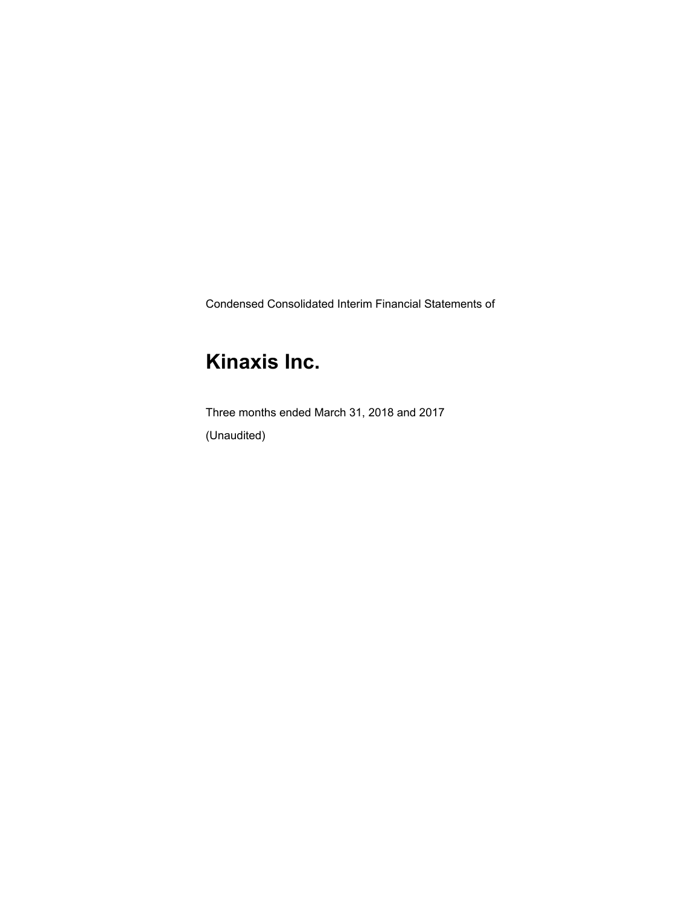Condensed Consolidated Interim Financial Statements of

# **Kinaxis Inc.**

Three months ended March 31, 2018 and 2017 (Unaudited)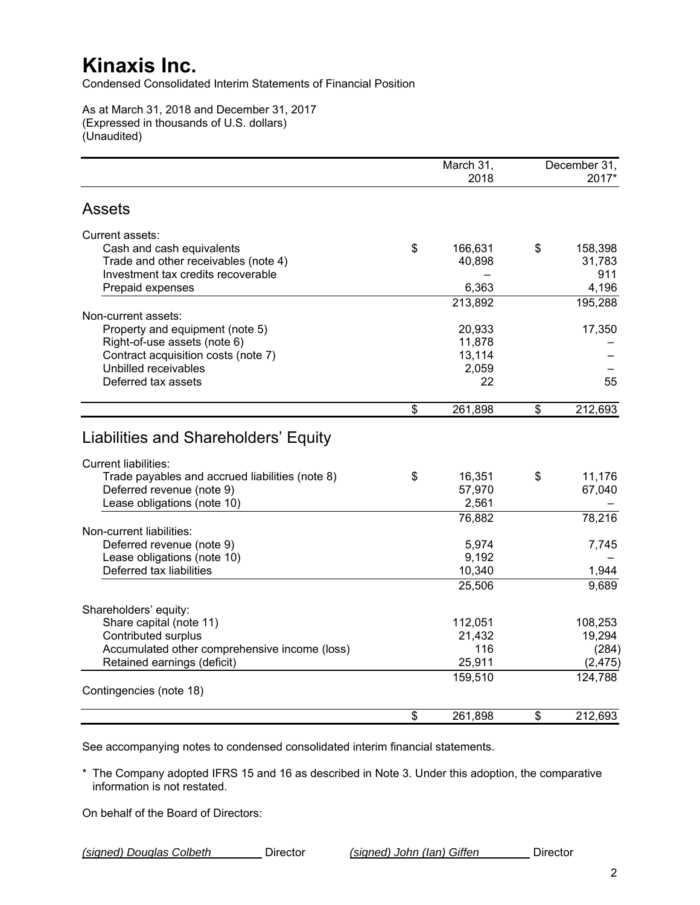Condensed Consolidated Interim Statements of Financial Position

As at March 31, 2018 and December 31, 2017 (Expressed in thousands of U.S. dollars) (Unaudited)

|                                                                              | March 31,<br>2018 | December 31,<br>2017* |
|------------------------------------------------------------------------------|-------------------|-----------------------|
| <b>Assets</b>                                                                |                   |                       |
| Current assets:                                                              |                   |                       |
| Cash and cash equivalents                                                    | \$<br>166,631     | \$<br>158,398         |
| Trade and other receivables (note 4)                                         | 40,898            | 31,783                |
| Investment tax credits recoverable                                           |                   | 911                   |
| Prepaid expenses                                                             | 6,363             | 4,196                 |
| Non-current assets:                                                          | 213,892           | 195,288               |
| Property and equipment (note 5)                                              | 20,933            | 17,350                |
| Right-of-use assets (note 6)                                                 | 11,878            |                       |
| Contract acquisition costs (note 7)                                          | 13,114            |                       |
| Unbilled receivables                                                         | 2,059             |                       |
| Deferred tax assets                                                          | 22                | 55                    |
|                                                                              |                   |                       |
|                                                                              | \$<br>261,898     | \$<br>212,693         |
| Liabilities and Shareholders' Equity<br><b>Current liabilities:</b>          |                   |                       |
| Trade payables and accrued liabilities (note 8)                              | \$<br>16,351      | \$<br>11,176          |
| Deferred revenue (note 9)                                                    | 57,970            | 67,040                |
| Lease obligations (note 10)                                                  | 2,561             |                       |
| Non-current liabilities:                                                     | 76,882            | 78,216                |
| Deferred revenue (note 9)                                                    | 5,974             | 7,745                 |
| Lease obligations (note 10)                                                  | 9,192             |                       |
| Deferred tax liabilities                                                     | 10,340            | 1,944                 |
|                                                                              | 25,506            | 9,689                 |
|                                                                              |                   |                       |
| Shareholders' equity:                                                        |                   |                       |
| Share capital (note 11)                                                      | 112,051           | 108,253               |
| Contributed surplus                                                          | 21,432            | 19,294                |
| Accumulated other comprehensive income (loss)<br>Retained earnings (deficit) | 116<br>25,911     | (284)<br>(2, 475)     |
|                                                                              | 159,510           | 124,788               |
| Contingencies (note 18)                                                      |                   |                       |
|                                                                              | \$<br>261,898     | \$<br>212,693         |
|                                                                              |                   |                       |

See accompanying notes to condensed consolidated interim financial statements.

\* The Company adopted IFRS 15 and 16 as described in Note 3. Under this adoption, the comparative information is not restated.

On behalf of the Board of Directors: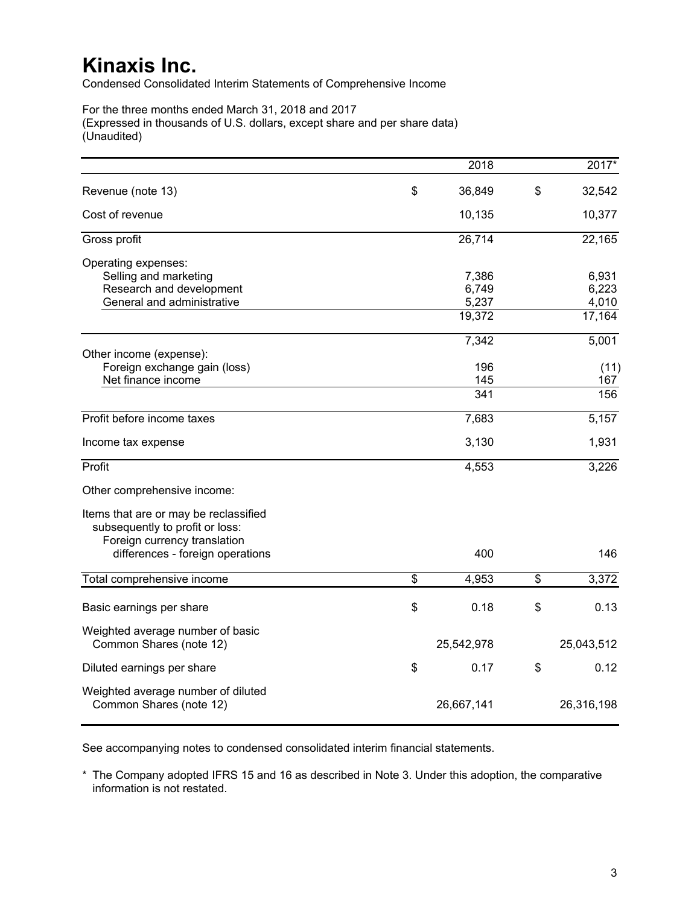Condensed Consolidated Interim Statements of Comprehensive Income

For the three months ended March 31, 2018 and 2017 (Expressed in thousands of U.S. dollars, except share and per share data) (Unaudited)

|                                                                                                          |                                      | 2018             | $2017*$        |
|----------------------------------------------------------------------------------------------------------|--------------------------------------|------------------|----------------|
| Revenue (note 13)                                                                                        | \$                                   | 36,849           | \$<br>32,542   |
| Cost of revenue                                                                                          |                                      | 10,135           | 10,377         |
| Gross profit                                                                                             |                                      | 26,714           | 22,165         |
| Operating expenses:<br>Selling and marketing                                                             |                                      | 7,386            | 6,931          |
| Research and development<br>General and administrative                                                   |                                      | 6,749<br>5,237   | 6,223<br>4,010 |
|                                                                                                          |                                      | 19,372           | 17,164         |
|                                                                                                          |                                      | 7,342            | 5,001          |
| Other income (expense):<br>Foreign exchange gain (loss)<br>Net finance income                            |                                      | 196<br>145       | (11)<br>167    |
|                                                                                                          |                                      | $\overline{341}$ | 156            |
| Profit before income taxes                                                                               |                                      | 7,683            | 5,157          |
| Income tax expense                                                                                       |                                      | 3,130            | 1,931          |
| Profit                                                                                                   |                                      | 4,553            | 3,226          |
| Other comprehensive income:                                                                              |                                      |                  |                |
| Items that are or may be reclassified<br>subsequently to profit or loss:<br>Foreign currency translation |                                      |                  |                |
| differences - foreign operations                                                                         |                                      | 400              | 146            |
| Total comprehensive income                                                                               | $\overline{\boldsymbol{\mathsf{s}}}$ | 4,953            | \$<br>3,372    |
| Basic earnings per share                                                                                 | \$                                   | 0.18             | \$<br>0.13     |
| Weighted average number of basic<br>Common Shares (note 12)                                              |                                      | 25,542,978       | 25,043,512     |
| Diluted earnings per share                                                                               | \$                                   | 0.17             | \$<br>0.12     |
| Weighted average number of diluted<br>Common Shares (note 12)                                            |                                      | 26,667,141       | 26,316,198     |

See accompanying notes to condensed consolidated interim financial statements.

\* The Company adopted IFRS 15 and 16 as described in Note 3. Under this adoption, the comparative information is not restated.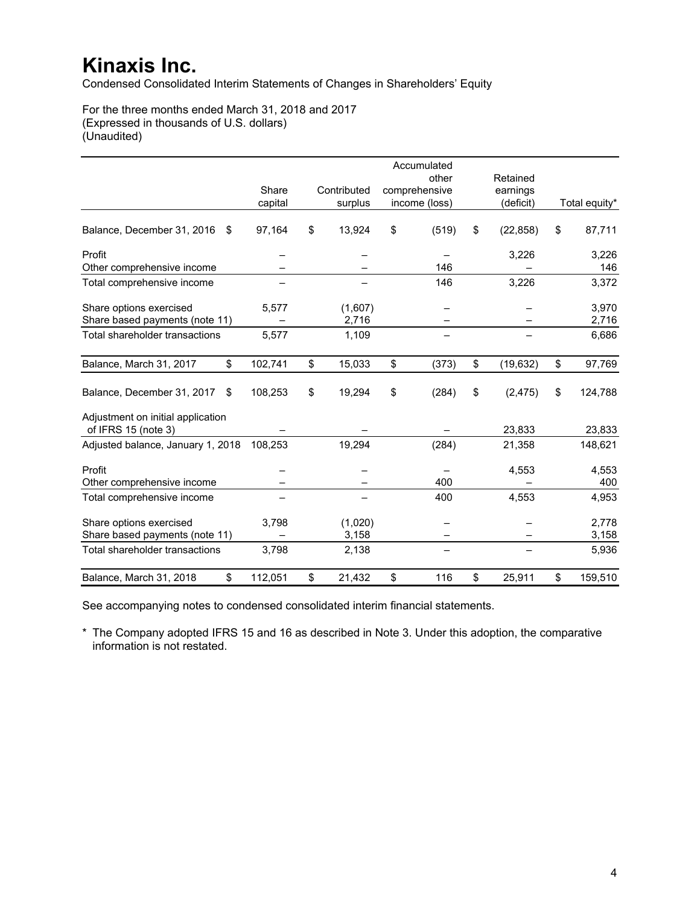Condensed Consolidated Interim Statements of Changes in Shareholders' Equity

For the three months ended March 31, 2018 and 2017 (Expressed in thousands of U.S. dollars) (Unaudited)

|                                                           |                  |                        | Accumulated                             |                                   |                |
|-----------------------------------------------------------|------------------|------------------------|-----------------------------------------|-----------------------------------|----------------|
|                                                           | Share<br>capital | Contributed<br>surplus | other<br>comprehensive<br>income (loss) | Retained<br>earnings<br>(deficit) | Total equity*  |
| Balance, December 31, 2016<br>\$                          | 97,164           | \$<br>13,924           | \$<br>(519)                             | \$<br>(22, 858)                   | \$<br>87,711   |
| Profit<br>Other comprehensive income                      |                  |                        | 146                                     | 3,226                             | 3,226<br>146   |
| Total comprehensive income                                |                  |                        | 146                                     | 3,226                             | 3,372          |
| Share options exercised<br>Share based payments (note 11) | 5,577            | (1,607)<br>2,716       |                                         |                                   | 3,970<br>2,716 |
| Total shareholder transactions                            | 5,577            | 1,109                  |                                         |                                   | 6,686          |
| Balance, March 31, 2017<br>\$                             | 102,741          | \$<br>15,033           | \$<br>(373)                             | \$<br>(19, 632)                   | \$<br>97,769   |
| Balance, December 31, 2017<br>\$                          | 108,253          | \$<br>19,294           | \$<br>(284)                             | \$<br>(2, 475)                    | \$<br>124,788  |
| Adjustment on initial application<br>of IFRS 15 (note 3)  |                  |                        |                                         | 23,833                            | 23,833         |
| Adjusted balance, January 1, 2018                         | 108,253          | 19,294                 | (284)                                   | 21,358                            | 148,621        |
| Profit<br>Other comprehensive income                      |                  |                        | 400                                     | 4,553                             | 4,553<br>400   |
| Total comprehensive income                                |                  |                        | 400                                     | 4,553                             | 4,953          |
| Share options exercised<br>Share based payments (note 11) | 3,798            | (1,020)<br>3,158       |                                         |                                   | 2,778<br>3,158 |
| Total shareholder transactions                            | 3,798            | 2,138                  |                                         |                                   | 5,936          |
| \$<br>Balance, March 31, 2018                             | 112,051          | \$<br>21,432           | \$<br>116                               | \$<br>25,911                      | \$<br>159,510  |

See accompanying notes to condensed consolidated interim financial statements.

\* The Company adopted IFRS 15 and 16 as described in Note 3. Under this adoption, the comparative information is not restated.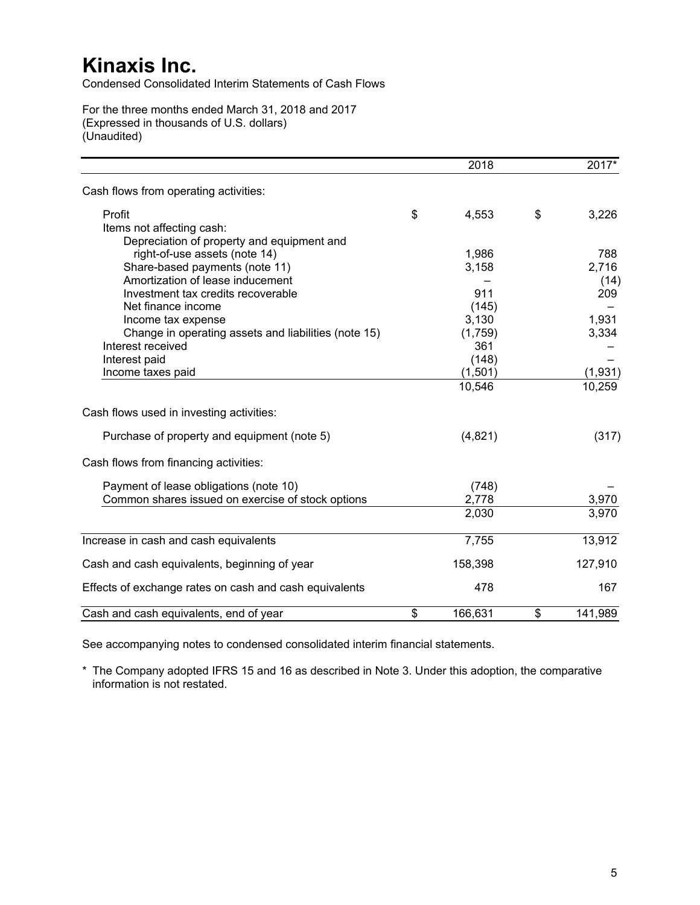Condensed Consolidated Interim Statements of Cash Flows

For the three months ended March 31, 2018 and 2017 (Expressed in thousands of U.S. dollars) (Unaudited)

|                                                        | 2018          | $2017*$       |
|--------------------------------------------------------|---------------|---------------|
| Cash flows from operating activities:                  |               |               |
| Profit                                                 | \$<br>4,553   | \$<br>3,226   |
| Items not affecting cash:                              |               |               |
| Depreciation of property and equipment and             |               |               |
| right-of-use assets (note 14)                          | 1,986         | 788           |
| Share-based payments (note 11)                         | 3,158         | 2,716         |
| Amortization of lease inducement                       |               | (14)          |
| Investment tax credits recoverable                     | 911           | 209           |
| Net finance income                                     | (145)         |               |
| Income tax expense                                     | 3,130         | 1,931         |
| Change in operating assets and liabilities (note 15)   | (1,759)       | 3,334         |
| Interest received                                      | 361           |               |
| Interest paid                                          | (148)         |               |
| Income taxes paid                                      | (1,501)       | (1,931)       |
|                                                        | 10,546        | 10,259        |
| Cash flows used in investing activities:               |               |               |
| Purchase of property and equipment (note 5)            | (4,821)       | (317)         |
| Cash flows from financing activities:                  |               |               |
| Payment of lease obligations (note 10)                 | (748)         |               |
| Common shares issued on exercise of stock options      | 2,778         | 3,970         |
|                                                        | 2,030         | 3,970         |
| Increase in cash and cash equivalents                  | 7,755         | 13,912        |
| Cash and cash equivalents, beginning of year           | 158,398       | 127,910       |
|                                                        |               |               |
| Effects of exchange rates on cash and cash equivalents | 478           | 167           |
| Cash and cash equivalents, end of year                 | \$<br>166,631 | \$<br>141,989 |

See accompanying notes to condensed consolidated interim financial statements.

\* The Company adopted IFRS 15 and 16 as described in Note 3. Under this adoption, the comparative information is not restated.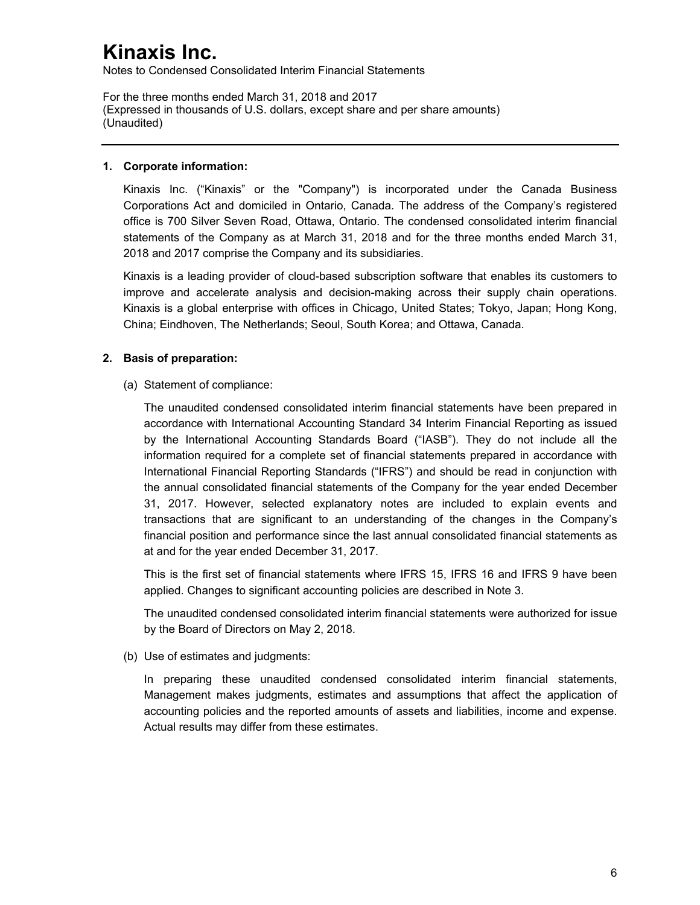Notes to Condensed Consolidated Interim Financial Statements

For the three months ended March 31, 2018 and 2017 (Expressed in thousands of U.S. dollars, except share and per share amounts) (Unaudited)

## **1. Corporate information:**

Kinaxis Inc. ("Kinaxis" or the "Company") is incorporated under the Canada Business Corporations Act and domiciled in Ontario, Canada. The address of the Company's registered office is 700 Silver Seven Road, Ottawa, Ontario. The condensed consolidated interim financial statements of the Company as at March 31, 2018 and for the three months ended March 31, 2018 and 2017 comprise the Company and its subsidiaries.

Kinaxis is a leading provider of cloud-based subscription software that enables its customers to improve and accelerate analysis and decision-making across their supply chain operations. Kinaxis is a global enterprise with offices in Chicago, United States; Tokyo, Japan; Hong Kong, China; Eindhoven, The Netherlands; Seoul, South Korea; and Ottawa, Canada.

## **2. Basis of preparation:**

(a) Statement of compliance:

The unaudited condensed consolidated interim financial statements have been prepared in accordance with International Accounting Standard 34 Interim Financial Reporting as issued by the International Accounting Standards Board ("IASB"). They do not include all the information required for a complete set of financial statements prepared in accordance with International Financial Reporting Standards ("IFRS") and should be read in conjunction with the annual consolidated financial statements of the Company for the year ended December 31, 2017. However, selected explanatory notes are included to explain events and transactions that are significant to an understanding of the changes in the Company's financial position and performance since the last annual consolidated financial statements as at and for the year ended December 31, 2017.

This is the first set of financial statements where IFRS 15, IFRS 16 and IFRS 9 have been applied. Changes to significant accounting policies are described in Note 3.

The unaudited condensed consolidated interim financial statements were authorized for issue by the Board of Directors on May 2, 2018.

(b) Use of estimates and judgments:

In preparing these unaudited condensed consolidated interim financial statements, Management makes judgments, estimates and assumptions that affect the application of accounting policies and the reported amounts of assets and liabilities, income and expense. Actual results may differ from these estimates.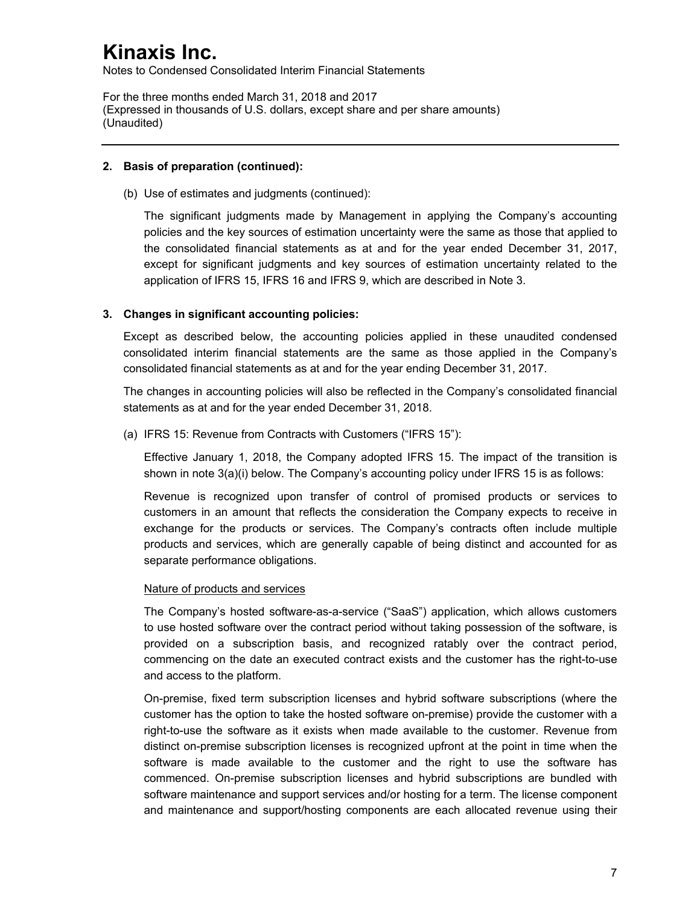Notes to Condensed Consolidated Interim Financial Statements

For the three months ended March 31, 2018 and 2017 (Expressed in thousands of U.S. dollars, except share and per share amounts) (Unaudited)

### **2. Basis of preparation (continued):**

(b) Use of estimates and judgments (continued):

The significant judgments made by Management in applying the Company's accounting policies and the key sources of estimation uncertainty were the same as those that applied to the consolidated financial statements as at and for the year ended December 31, 2017, except for significant judgments and key sources of estimation uncertainty related to the application of IFRS 15, IFRS 16 and IFRS 9, which are described in Note 3.

## **3. Changes in significant accounting policies:**

Except as described below, the accounting policies applied in these unaudited condensed consolidated interim financial statements are the same as those applied in the Company's consolidated financial statements as at and for the year ending December 31, 2017.

The changes in accounting policies will also be reflected in the Company's consolidated financial statements as at and for the year ended December 31, 2018.

(a) IFRS 15: Revenue from Contracts with Customers ("IFRS 15"):

Effective January 1, 2018, the Company adopted IFRS 15. The impact of the transition is shown in note 3(a)(i) below. The Company's accounting policy under IFRS 15 is as follows:

Revenue is recognized upon transfer of control of promised products or services to customers in an amount that reflects the consideration the Company expects to receive in exchange for the products or services. The Company's contracts often include multiple products and services, which are generally capable of being distinct and accounted for as separate performance obligations.

## Nature of products and services

The Company's hosted software-as-a-service ("SaaS") application, which allows customers to use hosted software over the contract period without taking possession of the software, is provided on a subscription basis, and recognized ratably over the contract period, commencing on the date an executed contract exists and the customer has the right-to-use and access to the platform.

On-premise, fixed term subscription licenses and hybrid software subscriptions (where the customer has the option to take the hosted software on-premise) provide the customer with a right-to-use the software as it exists when made available to the customer. Revenue from distinct on-premise subscription licenses is recognized upfront at the point in time when the software is made available to the customer and the right to use the software has commenced. On-premise subscription licenses and hybrid subscriptions are bundled with software maintenance and support services and/or hosting for a term. The license component and maintenance and support/hosting components are each allocated revenue using their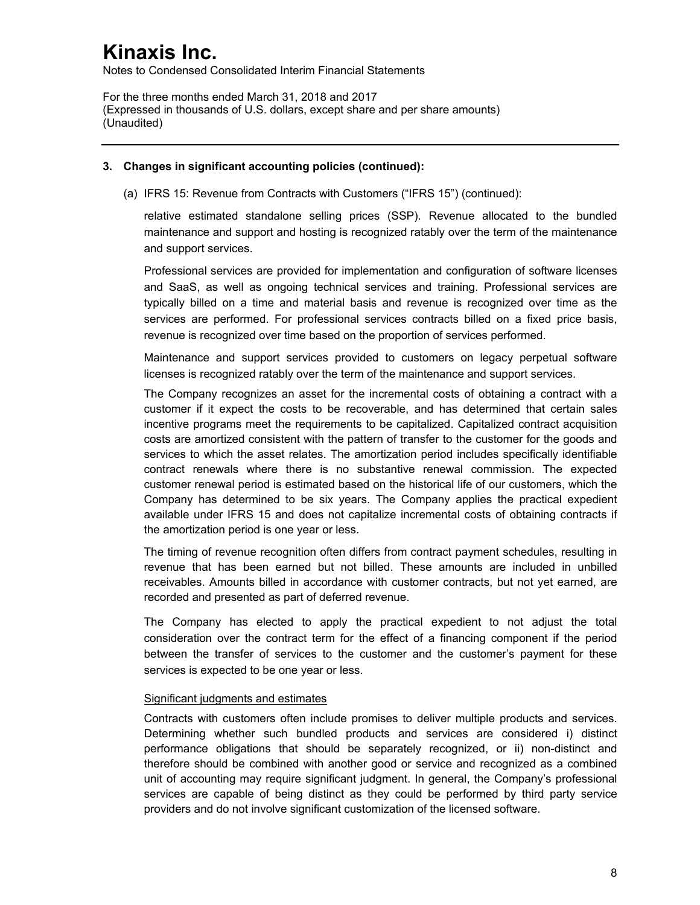Notes to Condensed Consolidated Interim Financial Statements

For the three months ended March 31, 2018 and 2017 (Expressed in thousands of U.S. dollars, except share and per share amounts) (Unaudited)

## **3. Changes in significant accounting policies (continued):**

(a) IFRS 15: Revenue from Contracts with Customers ("IFRS 15") (continued):

relative estimated standalone selling prices (SSP). Revenue allocated to the bundled maintenance and support and hosting is recognized ratably over the term of the maintenance and support services.

Professional services are provided for implementation and configuration of software licenses and SaaS, as well as ongoing technical services and training. Professional services are typically billed on a time and material basis and revenue is recognized over time as the services are performed. For professional services contracts billed on a fixed price basis, revenue is recognized over time based on the proportion of services performed.

Maintenance and support services provided to customers on legacy perpetual software licenses is recognized ratably over the term of the maintenance and support services.

The Company recognizes an asset for the incremental costs of obtaining a contract with a customer if it expect the costs to be recoverable, and has determined that certain sales incentive programs meet the requirements to be capitalized. Capitalized contract acquisition costs are amortized consistent with the pattern of transfer to the customer for the goods and services to which the asset relates. The amortization period includes specifically identifiable contract renewals where there is no substantive renewal commission. The expected customer renewal period is estimated based on the historical life of our customers, which the Company has determined to be six years. The Company applies the practical expedient available under IFRS 15 and does not capitalize incremental costs of obtaining contracts if the amortization period is one year or less.

The timing of revenue recognition often differs from contract payment schedules, resulting in revenue that has been earned but not billed. These amounts are included in unbilled receivables. Amounts billed in accordance with customer contracts, but not yet earned, are recorded and presented as part of deferred revenue.

The Company has elected to apply the practical expedient to not adjust the total consideration over the contract term for the effect of a financing component if the period between the transfer of services to the customer and the customer's payment for these services is expected to be one year or less.

#### Significant judgments and estimates

Contracts with customers often include promises to deliver multiple products and services. Determining whether such bundled products and services are considered i) distinct performance obligations that should be separately recognized, or ii) non-distinct and therefore should be combined with another good or service and recognized as a combined unit of accounting may require significant judgment. In general, the Company's professional services are capable of being distinct as they could be performed by third party service providers and do not involve significant customization of the licensed software.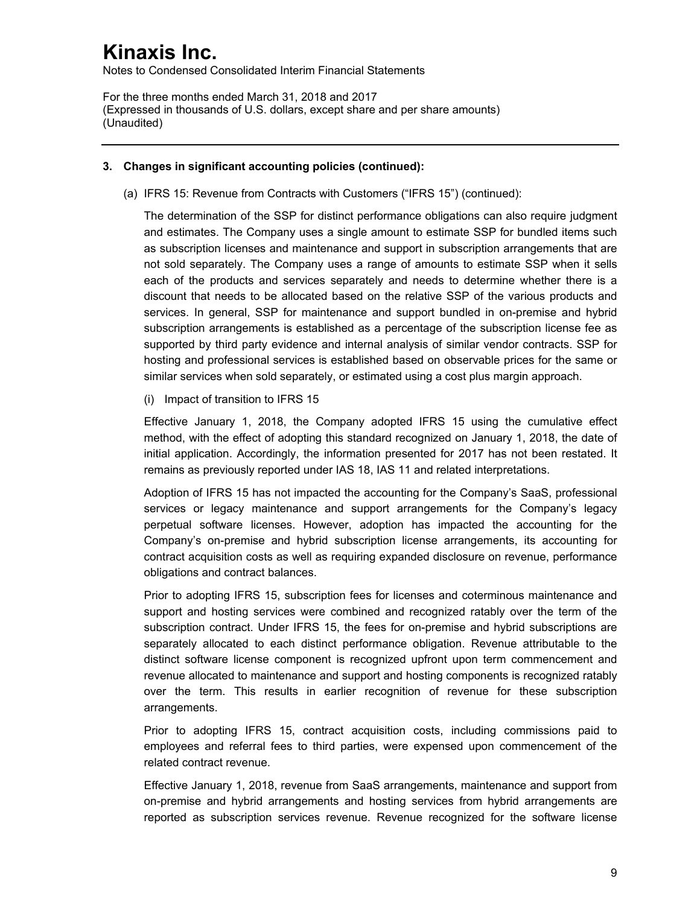Notes to Condensed Consolidated Interim Financial Statements

For the three months ended March 31, 2018 and 2017 (Expressed in thousands of U.S. dollars, except share and per share amounts) (Unaudited)

### **3. Changes in significant accounting policies (continued):**

(a) IFRS 15: Revenue from Contracts with Customers ("IFRS 15") (continued):

The determination of the SSP for distinct performance obligations can also require judgment and estimates. The Company uses a single amount to estimate SSP for bundled items such as subscription licenses and maintenance and support in subscription arrangements that are not sold separately. The Company uses a range of amounts to estimate SSP when it sells each of the products and services separately and needs to determine whether there is a discount that needs to be allocated based on the relative SSP of the various products and services. In general, SSP for maintenance and support bundled in on-premise and hybrid subscription arrangements is established as a percentage of the subscription license fee as supported by third party evidence and internal analysis of similar vendor contracts. SSP for hosting and professional services is established based on observable prices for the same or similar services when sold separately, or estimated using a cost plus margin approach.

(i) Impact of transition to IFRS 15

Effective January 1, 2018, the Company adopted IFRS 15 using the cumulative effect method, with the effect of adopting this standard recognized on January 1, 2018, the date of initial application. Accordingly, the information presented for 2017 has not been restated. It remains as previously reported under IAS 18, IAS 11 and related interpretations.

Adoption of IFRS 15 has not impacted the accounting for the Company's SaaS, professional services or legacy maintenance and support arrangements for the Company's legacy perpetual software licenses. However, adoption has impacted the accounting for the Company's on-premise and hybrid subscription license arrangements, its accounting for contract acquisition costs as well as requiring expanded disclosure on revenue, performance obligations and contract balances.

Prior to adopting IFRS 15, subscription fees for licenses and coterminous maintenance and support and hosting services were combined and recognized ratably over the term of the subscription contract. Under IFRS 15, the fees for on-premise and hybrid subscriptions are separately allocated to each distinct performance obligation. Revenue attributable to the distinct software license component is recognized upfront upon term commencement and revenue allocated to maintenance and support and hosting components is recognized ratably over the term. This results in earlier recognition of revenue for these subscription arrangements.

Prior to adopting IFRS 15, contract acquisition costs, including commissions paid to employees and referral fees to third parties, were expensed upon commencement of the related contract revenue.

Effective January 1, 2018, revenue from SaaS arrangements, maintenance and support from on-premise and hybrid arrangements and hosting services from hybrid arrangements are reported as subscription services revenue. Revenue recognized for the software license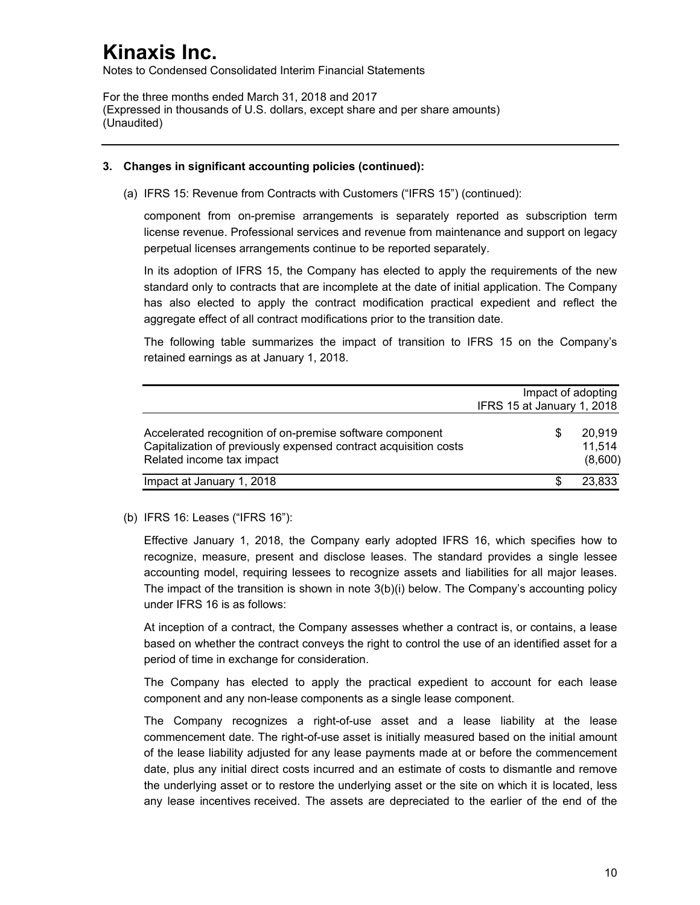Notes to Condensed Consolidated Interim Financial Statements

For the three months ended March 31, 2018 and 2017 (Expressed in thousands of U.S. dollars, except share and per share amounts) (Unaudited)

## **3. Changes in significant accounting policies (continued):**

(a) IFRS 15: Revenue from Contracts with Customers ("IFRS 15") (continued):

component from on-premise arrangements is separately reported as subscription term license revenue. Professional services and revenue from maintenance and support on legacy perpetual licenses arrangements continue to be reported separately.

In its adoption of IFRS 15, the Company has elected to apply the requirements of the new standard only to contracts that are incomplete at the date of initial application. The Company has also elected to apply the contract modification practical expedient and reflect the aggregate effect of all contract modifications prior to the transition date.

The following table summarizes the impact of transition to IFRS 15 on the Company's retained earnings as at January 1, 2018.

|                                                                                                                                                           | Impact of adopting         |                             |
|-----------------------------------------------------------------------------------------------------------------------------------------------------------|----------------------------|-----------------------------|
|                                                                                                                                                           | IFRS 15 at January 1, 2018 |                             |
| Accelerated recognition of on-premise software component<br>Capitalization of previously expensed contract acquisition costs<br>Related income tax impact |                            | 20.919<br>11.514<br>(8,600) |
| Impact at January 1, 2018                                                                                                                                 |                            | 23,833                      |

## (b) IFRS 16: Leases ("IFRS 16"):

Effective January 1, 2018, the Company early adopted IFRS 16, which specifies how to recognize, measure, present and disclose leases. The standard provides a single lessee accounting model, requiring lessees to recognize assets and liabilities for all major leases. The impact of the transition is shown in note 3(b)(i) below. The Company's accounting policy under IFRS 16 is as follows:

At inception of a contract, the Company assesses whether a contract is, or contains, a lease based on whether the contract conveys the right to control the use of an identified asset for a period of time in exchange for consideration.

The Company has elected to apply the practical expedient to account for each lease component and any non-lease components as a single lease component.

The Company recognizes a right-of-use asset and a lease liability at the lease commencement date. The right-of-use asset is initially measured based on the initial amount of the lease liability adjusted for any lease payments made at or before the commencement date, plus any initial direct costs incurred and an estimate of costs to dismantle and remove the underlying asset or to restore the underlying asset or the site on which it is located, less any lease incentives received. The assets are depreciated to the earlier of the end of the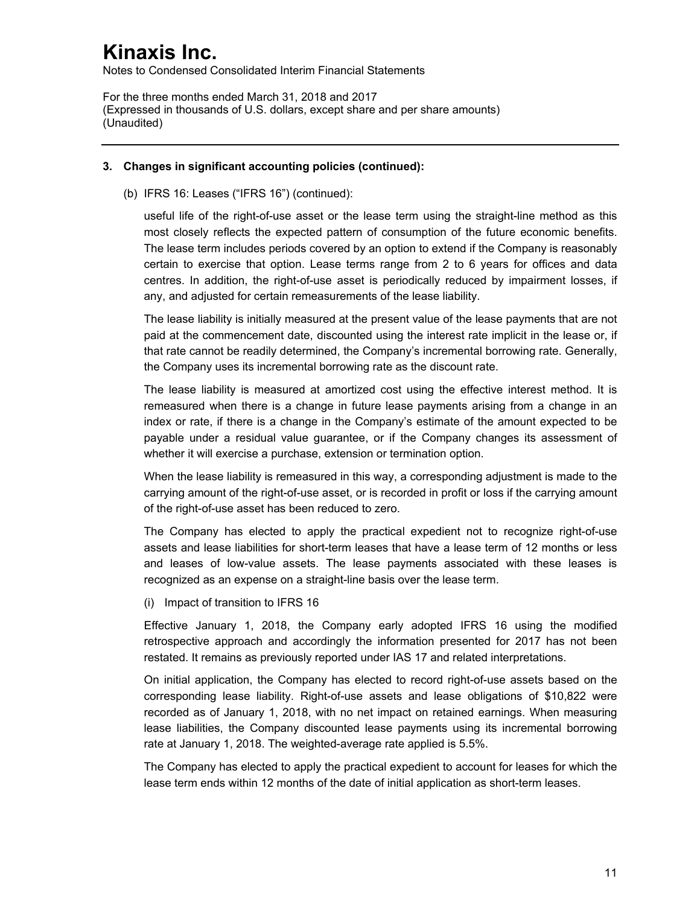Notes to Condensed Consolidated Interim Financial Statements

For the three months ended March 31, 2018 and 2017 (Expressed in thousands of U.S. dollars, except share and per share amounts) (Unaudited)

### **3. Changes in significant accounting policies (continued):**

(b) IFRS 16: Leases ("IFRS 16") (continued):

useful life of the right-of-use asset or the lease term using the straight-line method as this most closely reflects the expected pattern of consumption of the future economic benefits. The lease term includes periods covered by an option to extend if the Company is reasonably certain to exercise that option. Lease terms range from 2 to 6 years for offices and data centres. In addition, the right-of-use asset is periodically reduced by impairment losses, if any, and adjusted for certain remeasurements of the lease liability.

The lease liability is initially measured at the present value of the lease payments that are not paid at the commencement date, discounted using the interest rate implicit in the lease or, if that rate cannot be readily determined, the Company's incremental borrowing rate. Generally, the Company uses its incremental borrowing rate as the discount rate.

The lease liability is measured at amortized cost using the effective interest method. It is remeasured when there is a change in future lease payments arising from a change in an index or rate, if there is a change in the Company's estimate of the amount expected to be payable under a residual value guarantee, or if the Company changes its assessment of whether it will exercise a purchase, extension or termination option.

When the lease liability is remeasured in this way, a corresponding adjustment is made to the carrying amount of the right-of-use asset, or is recorded in profit or loss if the carrying amount of the right-of-use asset has been reduced to zero.

The Company has elected to apply the practical expedient not to recognize right-of-use assets and lease liabilities for short-term leases that have a lease term of 12 months or less and leases of low-value assets. The lease payments associated with these leases is recognized as an expense on a straight-line basis over the lease term.

(i) Impact of transition to IFRS 16

Effective January 1, 2018, the Company early adopted IFRS 16 using the modified retrospective approach and accordingly the information presented for 2017 has not been restated. It remains as previously reported under IAS 17 and related interpretations.

On initial application, the Company has elected to record right-of-use assets based on the corresponding lease liability. Right-of-use assets and lease obligations of \$10,822 were recorded as of January 1, 2018, with no net impact on retained earnings. When measuring lease liabilities, the Company discounted lease payments using its incremental borrowing rate at January 1, 2018. The weighted-average rate applied is 5.5%.

The Company has elected to apply the practical expedient to account for leases for which the lease term ends within 12 months of the date of initial application as short-term leases.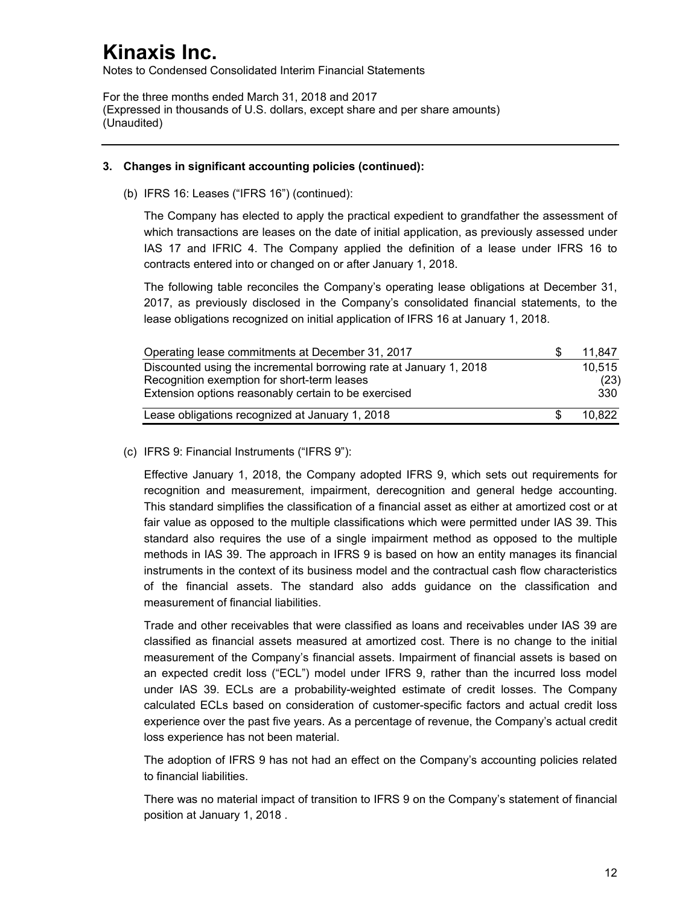Notes to Condensed Consolidated Interim Financial Statements

For the three months ended March 31, 2018 and 2017 (Expressed in thousands of U.S. dollars, except share and per share amounts) (Unaudited)

## **3. Changes in significant accounting policies (continued):**

(b) IFRS 16: Leases ("IFRS 16") (continued):

The Company has elected to apply the practical expedient to grandfather the assessment of which transactions are leases on the date of initial application, as previously assessed under IAS 17 and IFRIC 4. The Company applied the definition of a lease under IFRS 16 to contracts entered into or changed on or after January 1, 2018.

The following table reconciles the Company's operating lease obligations at December 31, 2017, as previously disclosed in the Company's consolidated financial statements, to the lease obligations recognized on initial application of IFRS 16 at January 1, 2018.

| Operating lease commitments at December 31, 2017                   | 11.847 |
|--------------------------------------------------------------------|--------|
| Discounted using the incremental borrowing rate at January 1, 2018 | 10.515 |
| Recognition exemption for short-term leases                        | (23)   |
| Extension options reasonably certain to be exercised               | 330    |
| Lease obligations recognized at January 1, 2018                    | 10.822 |

(c) IFRS 9: Financial Instruments ("IFRS 9"):

Effective January 1, 2018, the Company adopted IFRS 9, which sets out requirements for recognition and measurement, impairment, derecognition and general hedge accounting. This standard simplifies the classification of a financial asset as either at amortized cost or at fair value as opposed to the multiple classifications which were permitted under IAS 39. This standard also requires the use of a single impairment method as opposed to the multiple methods in IAS 39. The approach in IFRS 9 is based on how an entity manages its financial instruments in the context of its business model and the contractual cash flow characteristics of the financial assets. The standard also adds guidance on the classification and measurement of financial liabilities.

Trade and other receivables that were classified as loans and receivables under IAS 39 are classified as financial assets measured at amortized cost. There is no change to the initial measurement of the Company's financial assets. Impairment of financial assets is based on an expected credit loss ("ECL") model under IFRS 9, rather than the incurred loss model under IAS 39. ECLs are a probability-weighted estimate of credit losses. The Company calculated ECLs based on consideration of customer-specific factors and actual credit loss experience over the past five years. As a percentage of revenue, the Company's actual credit loss experience has not been material.

The adoption of IFRS 9 has not had an effect on the Company's accounting policies related to financial liabilities.

There was no material impact of transition to IFRS 9 on the Company's statement of financial position at January 1, 2018 .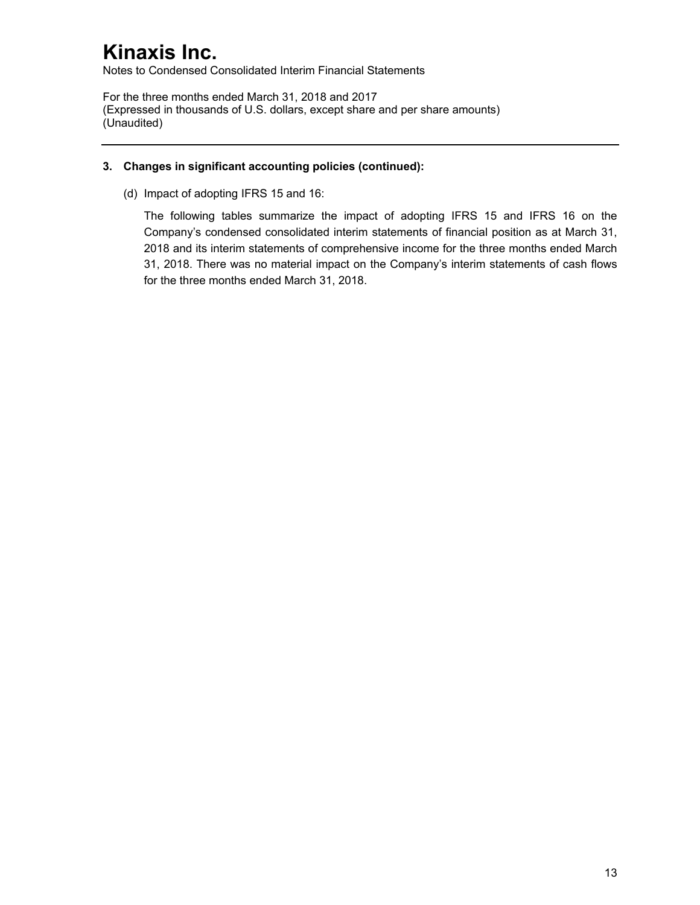Notes to Condensed Consolidated Interim Financial Statements

For the three months ended March 31, 2018 and 2017 (Expressed in thousands of U.S. dollars, except share and per share amounts) (Unaudited)

## **3. Changes in significant accounting policies (continued):**

(d) Impact of adopting IFRS 15 and 16:

The following tables summarize the impact of adopting IFRS 15 and IFRS 16 on the Company's condensed consolidated interim statements of financial position as at March 31, 2018 and its interim statements of comprehensive income for the three months ended March 31, 2018. There was no material impact on the Company's interim statements of cash flows for the three months ended March 31, 2018.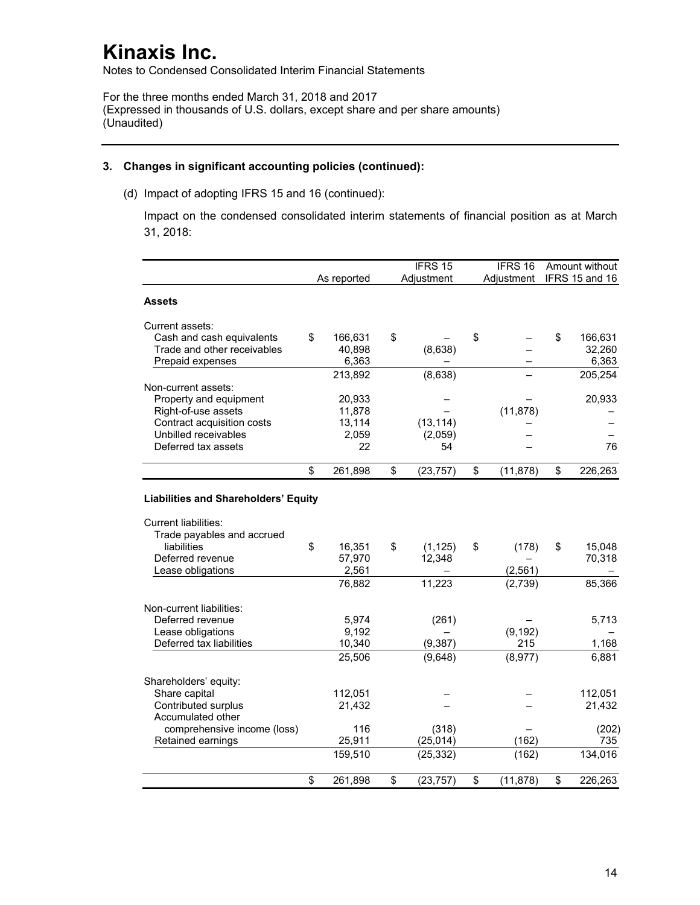Notes to Condensed Consolidated Interim Financial Statements

For the three months ended March 31, 2018 and 2017 (Expressed in thousands of U.S. dollars, except share and per share amounts) (Unaudited)

### **3. Changes in significant accounting policies (continued):**

(d) Impact of adopting IFRS 15 and 16 (continued):

Impact on the condensed consolidated interim statements of financial position as at March 31, 2018:

|                                                   |                  | IFRS 15         | IFRS 16         | Amount without |
|---------------------------------------------------|------------------|-----------------|-----------------|----------------|
|                                                   | As reported      | Adjustment      | Adiustment      | IFRS 15 and 16 |
| Assets                                            |                  |                 |                 |                |
| Current assets:                                   |                  |                 |                 |                |
| Cash and cash equivalents                         | \$<br>166,631    | \$              | \$              | \$<br>166,631  |
| Trade and other receivables                       | 40,898           | (8,638)         |                 | 32,260         |
| Prepaid expenses                                  | 6,363            |                 |                 | 6,363          |
|                                                   | 213,892          | (8,638)         |                 | 205,254        |
| Non-current assets:                               |                  |                 |                 |                |
| Property and equipment                            | 20,933           |                 |                 | 20,933         |
| Right-of-use assets<br>Contract acquisition costs | 11,878<br>13,114 | (13, 114)       | (11, 878)       |                |
| Unbilled receivables                              | 2,059            | (2,059)         |                 |                |
| Deferred tax assets                               | 22               | 54              |                 | 76             |
|                                                   |                  |                 |                 |                |
|                                                   | \$<br>261,898    | \$<br>(23, 757) | \$<br>(11, 878) | \$<br>226,263  |
| <b>Liabilities and Shareholders' Equity</b>       |                  |                 |                 |                |
| <b>Current liabilities:</b>                       |                  |                 |                 |                |
| Trade payables and accrued<br>liabilities         | \$<br>16,351     | \$<br>(1, 125)  | \$<br>(178)     | \$<br>15,048   |
| Deferred revenue                                  | 57,970           | 12,348          |                 | 70,318         |
| Lease obligations                                 | 2,561            |                 | (2, 561)        |                |
|                                                   | 76,882           | 11,223          | (2,739)         | 85,366         |
|                                                   |                  |                 |                 |                |
| Non-current liabilities:                          |                  |                 |                 |                |
| Deferred revenue<br>Lease obligations             | 5,974<br>9,192   | (261)           | (9, 192)        | 5,713          |
| Deferred tax liabilities                          | 10,340           | (9, 387)        | 215             | 1,168          |
|                                                   | 25,506           | (9,648)         | (8,977)         | 6,881          |
|                                                   |                  |                 |                 |                |
| Shareholders' equity:                             |                  |                 |                 |                |
| Share capital                                     | 112,051          |                 |                 | 112,051        |
| Contributed surplus<br>Accumulated other          | 21,432           |                 |                 | 21,432         |
| comprehensive income (loss)                       | 116              | (318)           |                 | (202)          |
| Retained earnings                                 | 25,911           | (25, 014)       | (162)           | 735            |
|                                                   | 159,510          | (25, 332)       | (162)           | 134,016        |
|                                                   | \$<br>261,898    | \$<br>(23, 757) | \$<br>(11, 878) | \$<br>226,263  |
|                                                   |                  |                 |                 |                |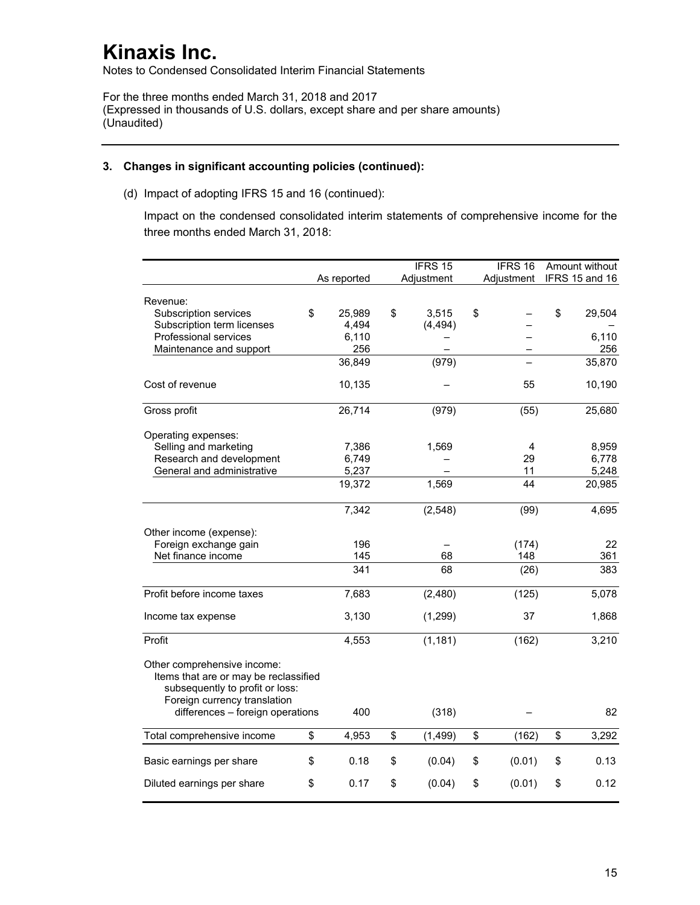Notes to Condensed Consolidated Interim Financial Statements

For the three months ended March 31, 2018 and 2017 (Expressed in thousands of U.S. dollars, except share and per share amounts) (Unaudited)

### **3. Changes in significant accounting policies (continued):**

(d) Impact of adopting IFRS 15 and 16 (continued):

Impact on the condensed consolidated interim statements of comprehensive income for the three months ended March 31, 2018:

|                                                                                                                                         |              | IFRS <sub>15</sub> | IFRS 16      | Amount without |
|-----------------------------------------------------------------------------------------------------------------------------------------|--------------|--------------------|--------------|----------------|
|                                                                                                                                         | As reported  | Adjustment         | Adjustment   | IFRS 15 and 16 |
| Revenue:                                                                                                                                |              |                    |              |                |
| Subscription services                                                                                                                   | \$<br>25,989 | \$<br>3,515        | \$           | \$<br>29,504   |
| Subscription term licenses                                                                                                              | 4,494        | (4, 494)           |              |                |
| Professional services                                                                                                                   | 6,110        |                    |              | 6,110          |
| Maintenance and support                                                                                                                 | 256          |                    |              | 256            |
|                                                                                                                                         | 36,849       | (979)              |              | 35,870         |
| Cost of revenue                                                                                                                         | 10,135       |                    | 55           | 10,190         |
| Gross profit                                                                                                                            | 26,714       | (979)              | (55)         | 25,680         |
| Operating expenses:                                                                                                                     |              |                    |              |                |
| Selling and marketing                                                                                                                   | 7,386        | 1,569              | 4            | 8,959          |
| Research and development                                                                                                                | 6,749        |                    | 29           | 6,778          |
| General and administrative                                                                                                              | 5,237        |                    | 11           | 5,248          |
|                                                                                                                                         | 19,372       | 1,569              | 44           | 20,985         |
|                                                                                                                                         | 7,342        | (2, 548)           | (99)         | 4,695          |
| Other income (expense):                                                                                                                 |              |                    |              |                |
| Foreign exchange gain                                                                                                                   | 196          |                    | (174)        | 22             |
| Net finance income                                                                                                                      | 145          | 68                 | 148          | 361            |
|                                                                                                                                         | 341          | 68                 | (26)         | 383            |
| Profit before income taxes                                                                                                              | 7,683        | (2,480)            | (125)        | 5,078          |
| Income tax expense                                                                                                                      | 3,130        | (1, 299)           | 37           | 1,868          |
| Profit                                                                                                                                  | 4,553        | (1, 181)           | (162)        | 3,210          |
| Other comprehensive income:<br>Items that are or may be reclassified<br>subsequently to profit or loss:<br>Foreign currency translation |              |                    |              |                |
| differences - foreign operations                                                                                                        | 400          | (318)              |              | 82             |
| Total comprehensive income                                                                                                              | \$<br>4,953  | \$<br>(1, 499)     | \$<br>(162)  | \$<br>3,292    |
| Basic earnings per share                                                                                                                | \$<br>0.18   | \$<br>(0.04)       | \$<br>(0.01) | \$<br>0.13     |
| Diluted earnings per share                                                                                                              | \$<br>0.17   | \$<br>(0.04)       | \$<br>(0.01) | \$<br>0.12     |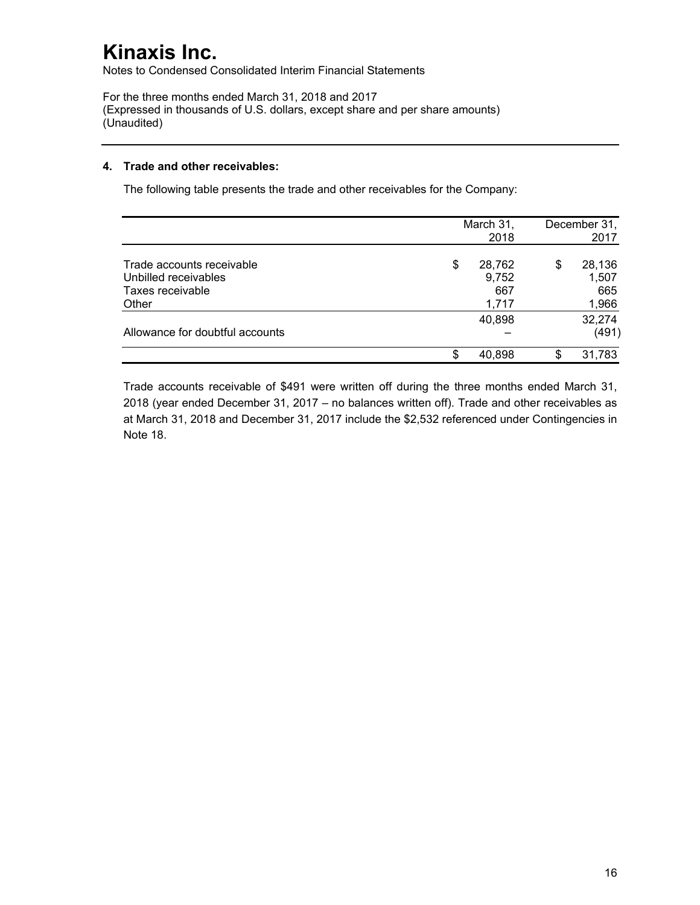Notes to Condensed Consolidated Interim Financial Statements

For the three months ended March 31, 2018 and 2017 (Expressed in thousands of U.S. dollars, except share and per share amounts) (Unaudited)

### **4. Trade and other receivables:**

The following table presents the trade and other receivables for the Company:

|                                                                                |    | March 31,<br>2018               |   | December 31,<br>2017            |
|--------------------------------------------------------------------------------|----|---------------------------------|---|---------------------------------|
| Trade accounts receivable<br>Unbilled receivables<br>Taxes receivable<br>Other | \$ | 28,762<br>9,752<br>667<br>1,717 | S | 28,136<br>1,507<br>665<br>1,966 |
| Allowance for doubtful accounts                                                |    | 40,898                          |   | 32,274<br>(491)                 |
|                                                                                | S. | 40,898                          |   | 31,783                          |

Trade accounts receivable of \$491 were written off during the three months ended March 31, 2018 (year ended December 31, 2017 – no balances written off). Trade and other receivables as at March 31, 2018 and December 31, 2017 include the \$2,532 referenced under Contingencies in Note 18.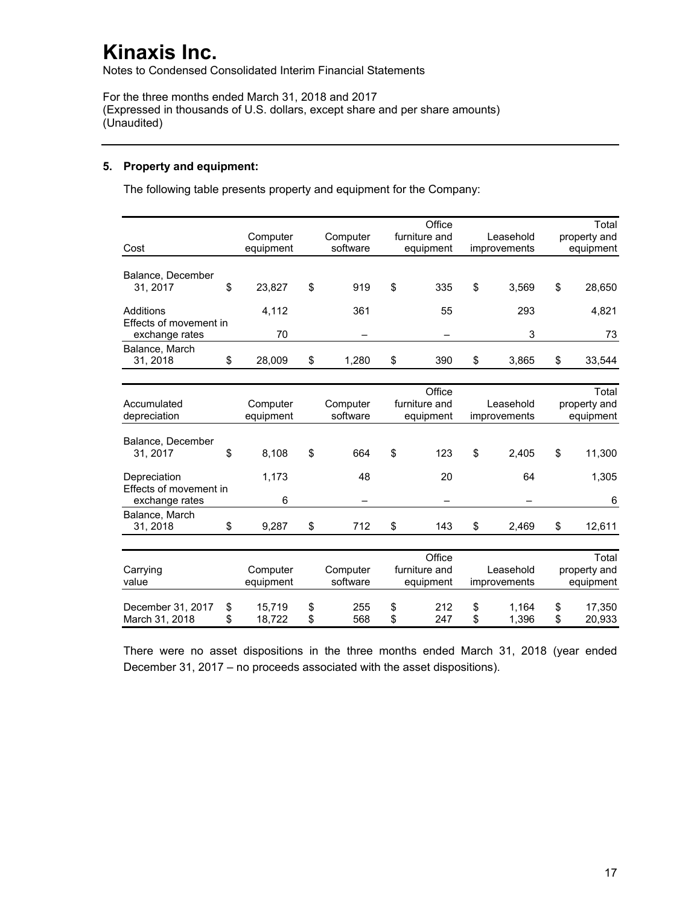Notes to Condensed Consolidated Interim Financial Statements

For the three months ended March 31, 2018 and 2017 (Expressed in thousands of U.S. dollars, except share and per share amounts) (Unaudited)

## **5. Property and equipment:**

The following table presents property and equipment for the Company:

| Cost                                                     |          | Computer<br>equipment |          | Computer<br>software |          | Office<br>furniture and<br>equipment |          | Leasehold<br>improvements |          | Total<br>property and<br>equipment |
|----------------------------------------------------------|----------|-----------------------|----------|----------------------|----------|--------------------------------------|----------|---------------------------|----------|------------------------------------|
| Balance, December<br>31, 2017                            | \$       | 23,827                | \$       | 919                  | \$       | 335                                  | \$       | 3,569                     | \$       | 28,650                             |
| Additions<br>Effects of movement in                      |          | 4,112<br>70           |          | 361                  |          | 55                                   |          | 293<br>3                  |          | 4,821                              |
| exchange rates<br>Balance, March<br>31.2018              | \$       | 28,009                | \$       | 1,280                | \$       | 390                                  | \$       | 3.865                     | \$       | 73<br>33,544                       |
| Accumulated<br>depreciation                              |          | Computer<br>equipment |          | Computer<br>software |          | Office<br>furniture and<br>equipment |          | Leasehold<br>improvements |          | Total<br>property and<br>equipment |
| Balance, December<br>31, 2017                            | \$       | 8,108                 | \$       | 664                  | \$       | 123                                  | \$       | 2.405                     | \$       | 11,300                             |
| Depreciation<br>Effects of movement in<br>exchange rates |          | 1,173<br>6            |          | 48                   |          | 20                                   |          | 64                        |          | 1,305<br>6                         |
| Balance, March<br>31, 2018                               | \$       | 9,287                 | \$       | 712                  | \$       | 143                                  | \$       | 2,469                     | \$       | 12,611                             |
| Carrying<br>value                                        |          | Computer<br>equipment |          | Computer<br>software |          | Office<br>furniture and<br>equipment |          | Leasehold<br>improvements |          | Total<br>property and<br>equipment |
| December 31, 2017<br>March 31, 2018                      | \$<br>\$ | 15,719<br>18,722      | \$<br>\$ | 255<br>568           | \$<br>\$ | 212<br>247                           | \$<br>\$ | 1,164<br>1.396            | \$<br>\$ | 17,350<br>20,933                   |

There were no asset dispositions in the three months ended March 31, 2018 (year ended December 31, 2017 – no proceeds associated with the asset dispositions).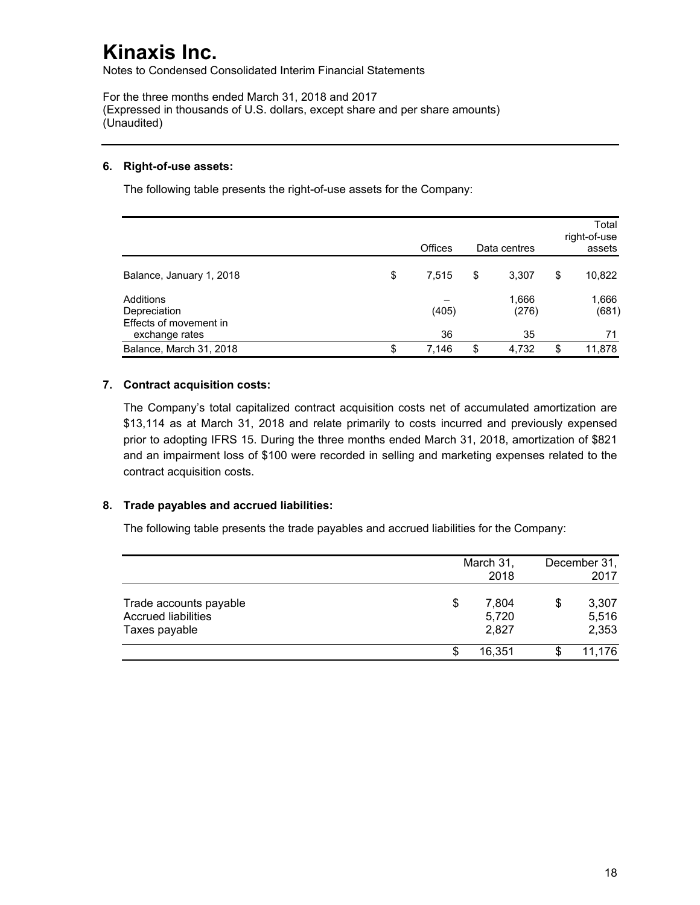Notes to Condensed Consolidated Interim Financial Statements

For the three months ended March 31, 2018 and 2017 (Expressed in thousands of U.S. dollars, except share and per share amounts) (Unaudited)

## **6. Right-of-use assets:**

The following table presents the right-of-use assets for the Company:

|                                                     | Offices     | Data centres   | Total<br>right-of-use<br>assets |
|-----------------------------------------------------|-------------|----------------|---------------------------------|
| Balance, January 1, 2018                            | \$<br>7,515 | \$<br>3,307    | \$<br>10,822                    |
| Additions<br>Depreciation<br>Effects of movement in | (405)       | 1,666<br>(276) | 1,666<br>(681)                  |
| exchange rates                                      | 36          | 35             | 71                              |
| Balance, March 31, 2018                             | \$<br>7,146 | \$<br>4,732    | \$<br>11,878                    |

## **7. Contract acquisition costs:**

The Company's total capitalized contract acquisition costs net of accumulated amortization are \$13,114 as at March 31, 2018 and relate primarily to costs incurred and previously expensed prior to adopting IFRS 15. During the three months ended March 31, 2018, amortization of \$821 and an impairment loss of \$100 were recorded in selling and marketing expenses related to the contract acquisition costs.

## **8. Trade payables and accrued liabilities:**

The following table presents the trade payables and accrued liabilities for the Company:

|                                                                       | March 31,<br>2018             | December 31,<br>2017          |
|-----------------------------------------------------------------------|-------------------------------|-------------------------------|
| Trade accounts payable<br><b>Accrued liabilities</b><br>Taxes payable | \$<br>7,804<br>5,720<br>2,827 | \$<br>3,307<br>5,516<br>2,353 |
|                                                                       | 16.351                        | 11,176                        |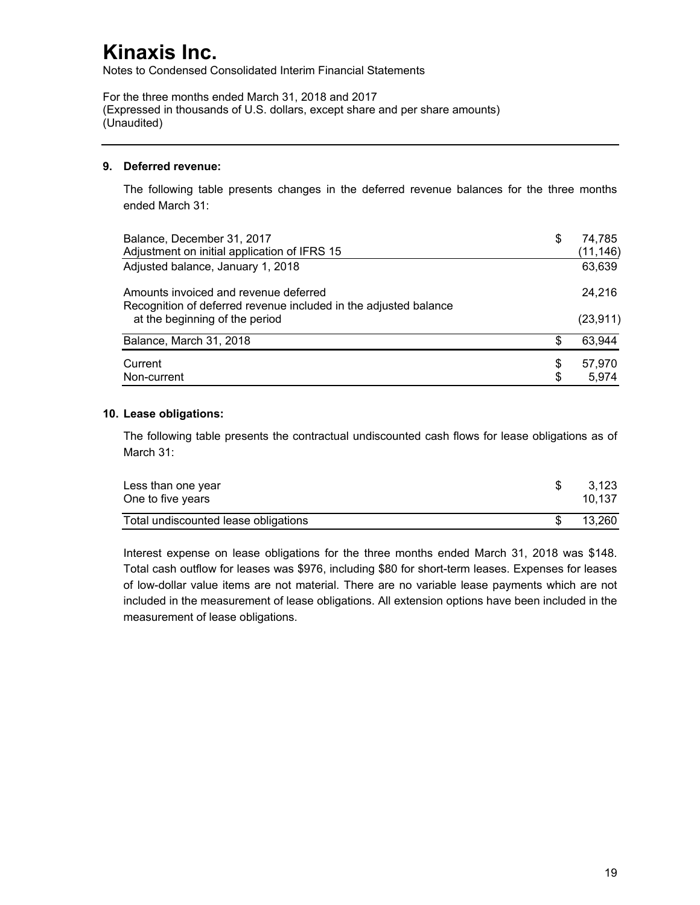Notes to Condensed Consolidated Interim Financial Statements

For the three months ended March 31, 2018 and 2017 (Expressed in thousands of U.S. dollars, except share and per share amounts) (Unaudited)

## **9. Deferred revenue:**

The following table presents changes in the deferred revenue balances for the three months ended March 31:

| Balance, December 31, 2017<br>Adjustment on initial application of IFRS 15                                | \$ | 74,785<br>(11, 146) |
|-----------------------------------------------------------------------------------------------------------|----|---------------------|
| Adjusted balance, January 1, 2018                                                                         |    | 63,639              |
| Amounts invoiced and revenue deferred<br>Recognition of deferred revenue included in the adjusted balance |    | 24.216              |
| at the beginning of the period                                                                            |    | (23, 911)           |
| Balance, March 31, 2018                                                                                   | \$ | 63,944              |
| Current                                                                                                   | S  | 57,970              |
| Non-current                                                                                               | \$ | 5,974               |

### **10. Lease obligations:**

The following table presents the contractual undiscounted cash flows for lease obligations as of March 31:

| Less than one year<br>One to five years | 3.123<br>10.137 |
|-----------------------------------------|-----------------|
| Total undiscounted lease obligations    | 13.260          |

Interest expense on lease obligations for the three months ended March 31, 2018 was \$148. Total cash outflow for leases was \$976, including \$80 for short-term leases. Expenses for leases of low-dollar value items are not material. There are no variable lease payments which are not included in the measurement of lease obligations. All extension options have been included in the measurement of lease obligations.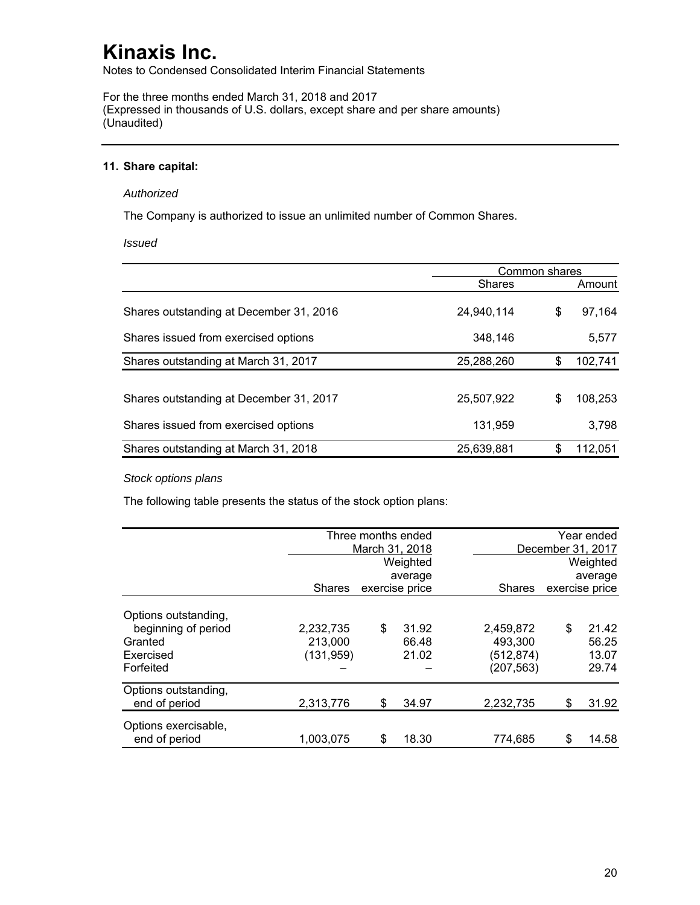Notes to Condensed Consolidated Interim Financial Statements

For the three months ended March 31, 2018 and 2017 (Expressed in thousands of U.S. dollars, except share and per share amounts) (Unaudited)

### **11. Share capital:**

#### *Authorized*

The Company is authorized to issue an unlimited number of Common Shares.

*Issued* 

|                                         | Common shares |    |         |  |
|-----------------------------------------|---------------|----|---------|--|
|                                         | <b>Shares</b> |    | Amount  |  |
| Shares outstanding at December 31, 2016 | 24,940,114    | \$ | 97,164  |  |
| Shares issued from exercised options    | 348,146       |    | 5,577   |  |
| Shares outstanding at March 31, 2017    | 25,288,260    | \$ | 102,741 |  |
|                                         |               |    |         |  |
| Shares outstanding at December 31, 2017 | 25,507,922    | \$ | 108,253 |  |
| Shares issued from exercised options    | 131,959       |    | 3,798   |  |
| Shares outstanding at March 31, 2018    | 25,639,881    | \$ | 112,051 |  |

## *Stock options plans*

The following table presents the status of the stock option plans:

|                                       |               | Three months ended |               |                   | Year ended |  |
|---------------------------------------|---------------|--------------------|---------------|-------------------|------------|--|
|                                       |               | March 31, 2018     |               | December 31, 2017 |            |  |
|                                       |               | Weighted           |               |                   | Weighted   |  |
|                                       |               | average            |               |                   | average    |  |
|                                       | <b>Shares</b> | exercise price     | <b>Shares</b> | exercise price    |            |  |
| Options outstanding,                  |               |                    |               |                   |            |  |
| beginning of period                   | 2,232,735     | \$<br>31.92        | 2,459,872     | \$                | 21.42      |  |
| Granted                               | 213,000       | 66.48              | 493.300       |                   | 56.25      |  |
| Exercised                             | (131, 959)    | 21.02              | (512, 874)    |                   | 13.07      |  |
| Forfeited                             |               |                    | (207, 563)    |                   | 29.74      |  |
| Options outstanding,<br>end of period | 2,313,776     | \$<br>34.97        | 2,232,735     | S                 | 31.92      |  |
|                                       |               |                    |               |                   |            |  |
| Options exercisable,<br>end of period | 1,003,075     | \$<br>18.30        | 774.685       | S                 | 14.58      |  |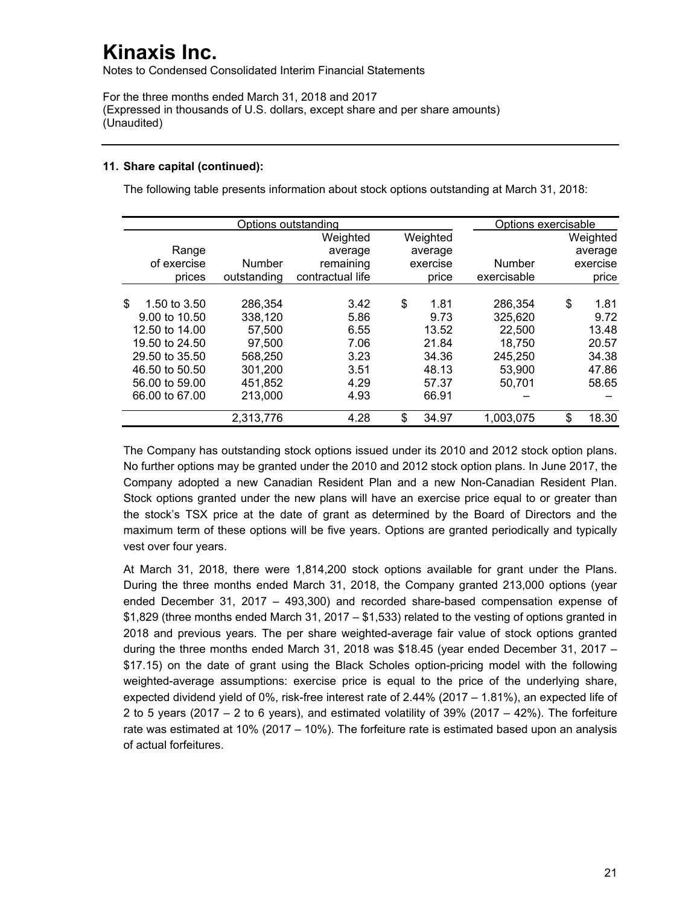Notes to Condensed Consolidated Interim Financial Statements

For the three months ended March 31, 2018 and 2017 (Expressed in thousands of U.S. dollars, except share and per share amounts) (Unaudited)

## **11. Share capital (continued):**

The following table presents information about stock options outstanding at March 31, 2018:

|                    | Options exercisable |                  |             |               |             |
|--------------------|---------------------|------------------|-------------|---------------|-------------|
|                    |                     | Weighted         | Weighted    |               | Weighted    |
| Range              |                     | average          | average     |               | average     |
| of exercise        | Number              | remaining        | exercise    | <b>Number</b> | exercise    |
| prices             | outstanding         | contractual life | price       | exercisable   | price       |
|                    |                     |                  |             |               |             |
| \$<br>1.50 to 3.50 | 286,354             | 3.42             | \$<br>1.81  | 286,354       | \$<br>1.81  |
| 9.00 to 10.50      | 338,120             | 5.86             | 9.73        | 325,620       | 9.72        |
| 12.50 to 14.00     | 57.500              | 6.55             | 13.52       | 22,500        | 13.48       |
| 19.50 to 24.50     | 97,500              | 7.06             | 21.84       | 18,750        | 20.57       |
| 29.50 to 35.50     | 568,250             | 3.23             | 34.36       | 245,250       | 34.38       |
| 46.50 to 50.50     | 301,200             | 3.51             | 48.13       | 53.900        | 47.86       |
| 56,00 to 59,00     | 451,852             | 4.29             | 57.37       | 50,701        | 58.65       |
| 66.00 to 67.00     | 213,000             | 4.93             | 66.91       |               |             |
|                    | 2,313,776           | 4.28             | \$<br>34.97 | 1,003,075     | \$<br>18.30 |

The Company has outstanding stock options issued under its 2010 and 2012 stock option plans. No further options may be granted under the 2010 and 2012 stock option plans. In June 2017, the Company adopted a new Canadian Resident Plan and a new Non-Canadian Resident Plan. Stock options granted under the new plans will have an exercise price equal to or greater than the stock's TSX price at the date of grant as determined by the Board of Directors and the maximum term of these options will be five years. Options are granted periodically and typically vest over four years.

At March 31, 2018, there were 1,814,200 stock options available for grant under the Plans. During the three months ended March 31, 2018, the Company granted 213,000 options (year ended December 31, 2017 – 493,300) and recorded share-based compensation expense of  $$1,829$  (three months ended March 31, 2017 –  $$1,533$ ) related to the vesting of options granted in 2018 and previous years. The per share weighted-average fair value of stock options granted during the three months ended March 31, 2018 was \$18.45 (year ended December 31, 2017 – \$17.15) on the date of grant using the Black Scholes option-pricing model with the following weighted-average assumptions: exercise price is equal to the price of the underlying share, expected dividend yield of 0%, risk-free interest rate of 2.44% (2017 – 1.81%), an expected life of 2 to 5 years (2017 – 2 to 6 years), and estimated volatility of 39% (2017 – 42%). The forfeiture rate was estimated at 10% (2017 – 10%). The forfeiture rate is estimated based upon an analysis of actual forfeitures.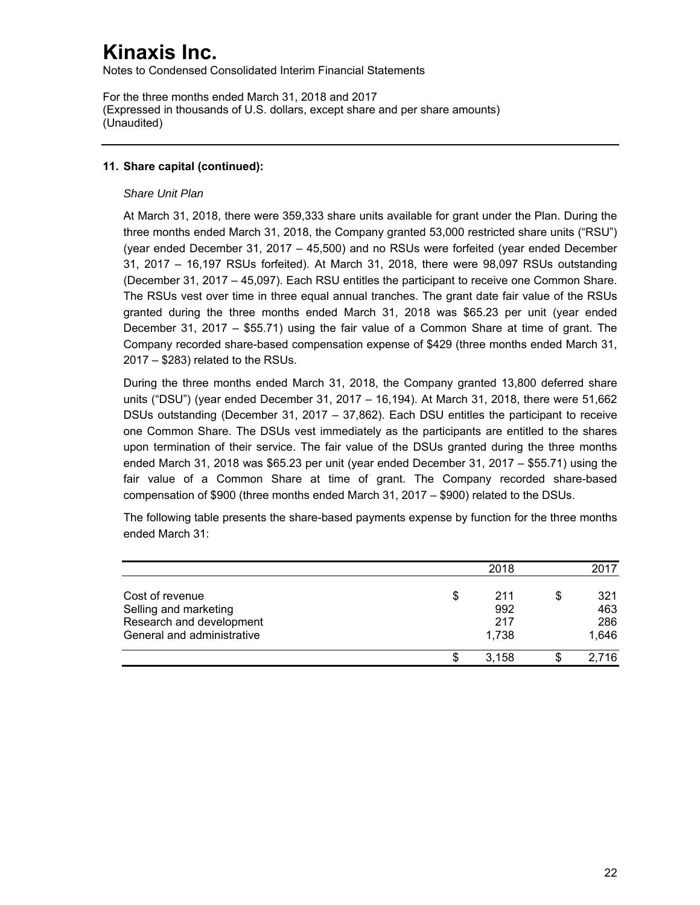Notes to Condensed Consolidated Interim Financial Statements

For the three months ended March 31, 2018 and 2017 (Expressed in thousands of U.S. dollars, except share and per share amounts) (Unaudited)

## **11. Share capital (continued):**

### *Share Unit Plan*

At March 31, 2018, there were 359,333 share units available for grant under the Plan. During the three months ended March 31, 2018, the Company granted 53,000 restricted share units ("RSU") (year ended December 31, 2017 – 45,500) and no RSUs were forfeited (year ended December 31, 2017 – 16,197 RSUs forfeited). At March 31, 2018, there were 98,097 RSUs outstanding (December 31, 2017 – 45,097). Each RSU entitles the participant to receive one Common Share. The RSUs vest over time in three equal annual tranches. The grant date fair value of the RSUs granted during the three months ended March 31, 2018 was \$65.23 per unit (year ended December 31, 2017 – \$55.71) using the fair value of a Common Share at time of grant. The Company recorded share-based compensation expense of \$429 (three months ended March 31, 2017 – \$283) related to the RSUs.

During the three months ended March 31, 2018, the Company granted 13,800 deferred share units ("DSU") (year ended December 31, 2017 – 16,194). At March 31, 2018, there were 51,662 DSUs outstanding (December 31, 2017 – 37,862). Each DSU entitles the participant to receive one Common Share. The DSUs vest immediately as the participants are entitled to the shares upon termination of their service. The fair value of the DSUs granted during the three months ended March 31, 2018 was \$65.23 per unit (year ended December 31, 2017 – \$55.71) using the fair value of a Common Share at time of grant. The Company recorded share-based compensation of \$900 (three months ended March 31, 2017 – \$900) related to the DSUs.

The following table presents the share-based payments expense by function for the three months ended March 31:

|                                                                                                    | 2018                             | 2017                             |
|----------------------------------------------------------------------------------------------------|----------------------------------|----------------------------------|
| Cost of revenue<br>Selling and marketing<br>Research and development<br>General and administrative | \$<br>211<br>992<br>217<br>1,738 | \$<br>321<br>463<br>286<br>1,646 |
|                                                                                                    | 3.158                            | 2,716                            |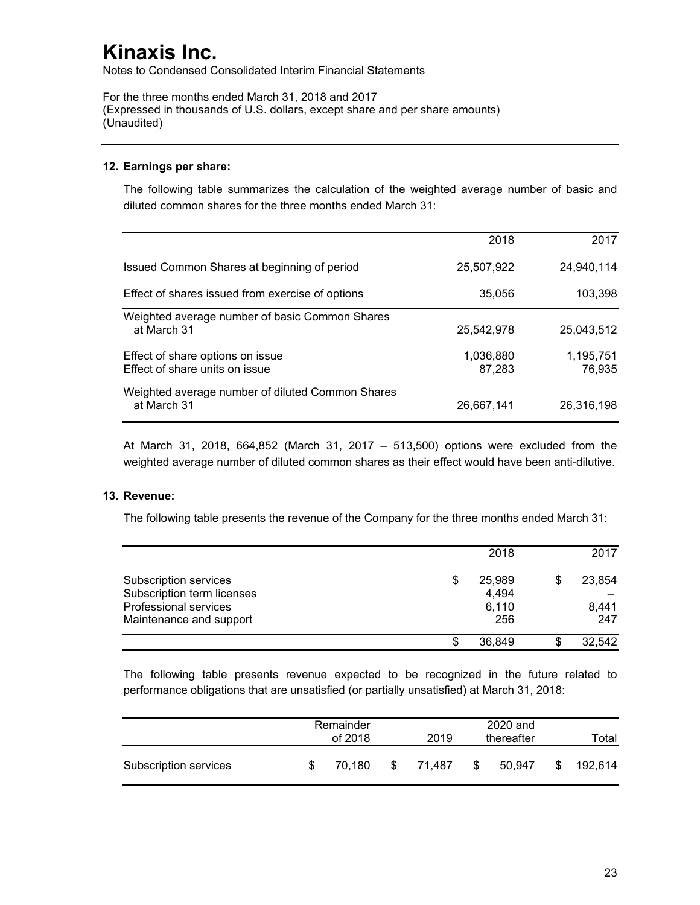Notes to Condensed Consolidated Interim Financial Statements

For the three months ended March 31, 2018 and 2017 (Expressed in thousands of U.S. dollars, except share and per share amounts) (Unaudited)

## **12. Earnings per share:**

The following table summarizes the calculation of the weighted average number of basic and diluted common shares for the three months ended March 31:

|                                                                    | 2018                | 2017                |
|--------------------------------------------------------------------|---------------------|---------------------|
| Issued Common Shares at beginning of period                        | 25,507,922          | 24,940,114          |
| Effect of shares issued from exercise of options                   | 35,056              | 103,398             |
| Weighted average number of basic Common Shares<br>at March 31      | 25,542,978          | 25,043,512          |
| Effect of share options on issue<br>Effect of share units on issue | 1,036,880<br>87,283 | 1,195,751<br>76,935 |
| Weighted average number of diluted Common Shares<br>at March 31    | 26,667,141          | 26,316,198          |

At March 31, 2018, 664,852 (March 31, 2017 – 513,500) options were excluded from the weighted average number of diluted common shares as their effect would have been anti-dilutive.

## **13. Revenue:**

The following table presents the revenue of the Company for the three months ended March 31:

|                            |     | 2018   |   | 2017   |
|----------------------------|-----|--------|---|--------|
| Subscription services      | \$  | 25,989 | S | 23,854 |
| Subscription term licenses |     | 4,494  |   |        |
| Professional services      |     | 6,110  |   | 8,441  |
| Maintenance and support    |     | 256    |   | 247    |
|                            | \$. | 36,849 |   | 32,542 |

The following table presents revenue expected to be recognized in the future related to performance obligations that are unsatisfied (or partially unsatisfied) at March 31, 2018:

|                       | Remainder<br>of 2018 |        |    | 2020 and<br>2019<br>thereafter |    |        |    | Total   |
|-----------------------|----------------------|--------|----|--------------------------------|----|--------|----|---------|
| Subscription services | -SS                  | 70.180 | S. | 71.487                         | \$ | 50.947 | S. | 192.614 |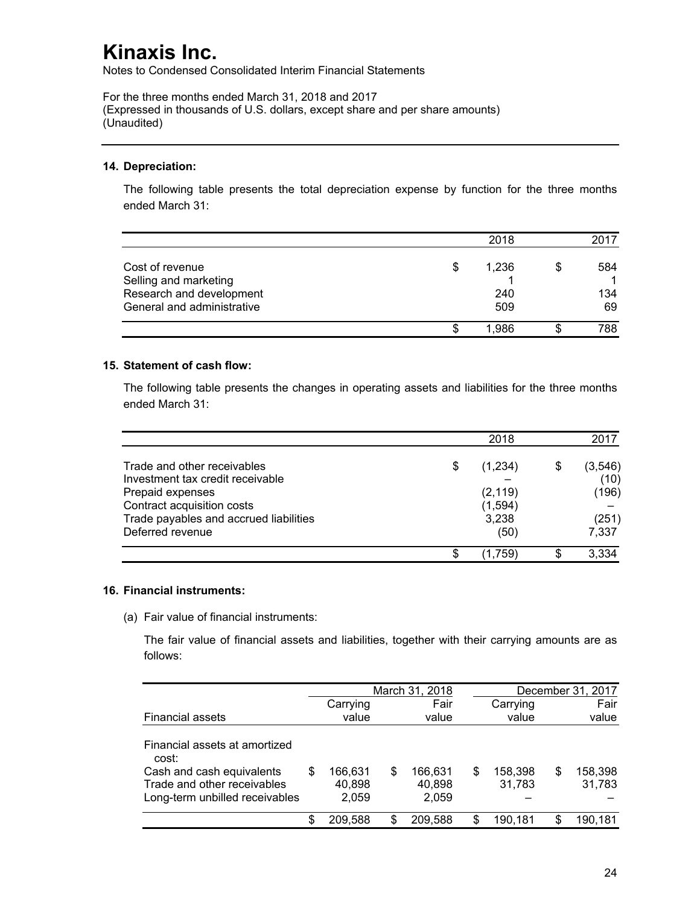Notes to Condensed Consolidated Interim Financial Statements

For the three months ended March 31, 2018 and 2017 (Expressed in thousands of U.S. dollars, except share and per share amounts) (Unaudited)

### **14. Depreciation:**

The following table presents the total depreciation expense by function for the three months ended March 31:

|                            |    | 2018  | 2017      |
|----------------------------|----|-------|-----------|
| Cost of revenue            | \$ | 1,236 | \$<br>584 |
| Selling and marketing      |    |       |           |
| Research and development   |    | 240   | 134       |
| General and administrative |    | 509   | 69        |
|                            | S  | 1.986 | 788       |

### **15. Statement of cash flow:**

The following table presents the changes in operating assets and liabilities for the three months ended March 31:

|                                        |   | 2018     | 2017     |
|----------------------------------------|---|----------|----------|
| Trade and other receivables            | S | (1,234)  | (3, 546) |
| Investment tax credit receivable       |   |          | (10)     |
| Prepaid expenses                       |   | (2, 119) | (196)    |
| Contract acquisition costs             |   | (1, 594) |          |
| Trade payables and accrued liabilities |   | 3,238    | (251)    |
| Deferred revenue                       |   | (50)     | 7,337    |
|                                        | S | (1.759)  | 3,334    |

#### **16. Financial instruments:**

(a) Fair value of financial instruments:

The fair value of financial assets and liabilities, together with their carrying amounts are as follows:

|                                                                                            |   | March 31, 2018             |   |                            |   |                   |   | December 31, 2017 |
|--------------------------------------------------------------------------------------------|---|----------------------------|---|----------------------------|---|-------------------|---|-------------------|
|                                                                                            |   | Carrying                   |   | Fair                       |   | Carrying          |   | Fair              |
| <b>Financial assets</b>                                                                    |   | value                      |   | value                      |   | value             |   | value             |
| Financial assets at amortized<br>cost:                                                     |   |                            |   |                            |   |                   |   |                   |
| Cash and cash equivalents<br>Trade and other receivables<br>Long-term unbilled receivables | S | 166.631<br>40,898<br>2,059 | S | 166.631<br>40,898<br>2,059 | S | 158,398<br>31,783 | S | 158,398<br>31,783 |
|                                                                                            | S | 209,588                    | S | 209,588                    | S | 190.181           |   | 190,181           |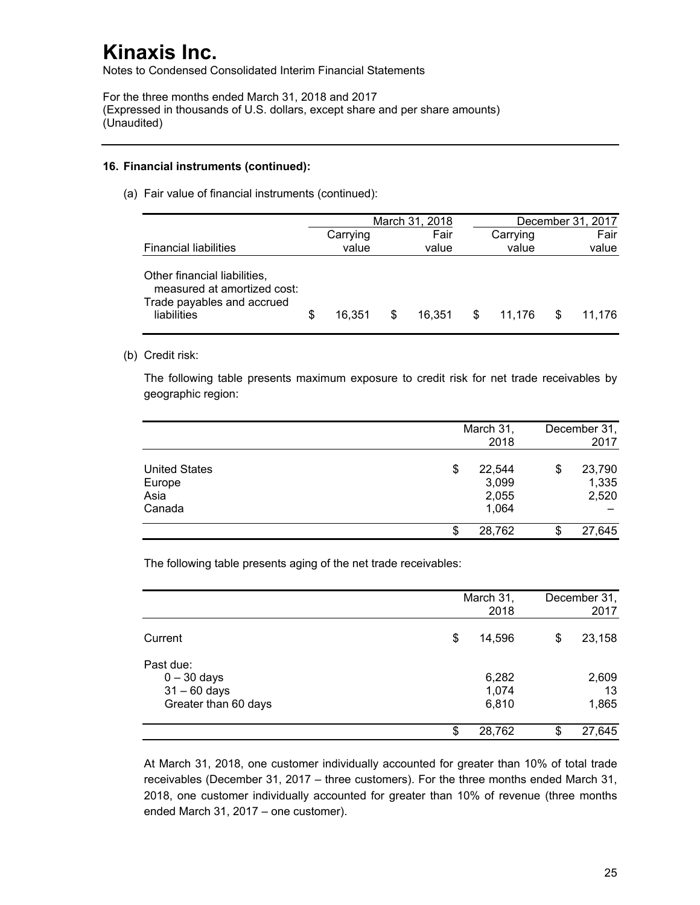Notes to Condensed Consolidated Interim Financial Statements

For the three months ended March 31, 2018 and 2017 (Expressed in thousands of U.S. dollars, except share and per share amounts) (Unaudited)

### **16. Financial instruments (continued):**

(a) Fair value of financial instruments (continued):

|                                                                                                          |   |          |   | March 31, 2018 |   |          |   | December 31, 2017 |
|----------------------------------------------------------------------------------------------------------|---|----------|---|----------------|---|----------|---|-------------------|
|                                                                                                          |   | Carrying |   | Fair           |   | Carrying |   | Fair              |
| <b>Financial liabilities</b>                                                                             |   | value    |   | value          |   | value    |   | value             |
| Other financial liabilities,<br>measured at amortized cost:<br>Trade payables and accrued<br>liabilities | S | 16.351   | S | 16.351         | S | 11.176   | S | 11.176            |

(b) Credit risk:

The following table presents maximum exposure to credit risk for net trade receivables by geographic region:

|                                                  | March 31,<br>2018                       | December 31,<br>2017           |
|--------------------------------------------------|-----------------------------------------|--------------------------------|
| <b>United States</b><br>Europe<br>Asia<br>Canada | \$<br>22,544<br>3,099<br>2,055<br>1,064 | \$<br>23,790<br>1,335<br>2,520 |
|                                                  | \$<br>28,762                            | 27,645                         |

The following table presents aging of the net trade receivables:

|                                                                      | March 31,<br>2018       |    | December 31,<br>2017 |
|----------------------------------------------------------------------|-------------------------|----|----------------------|
| Current                                                              | \$<br>14,596            | \$ | 23,158               |
| Past due:<br>$0 - 30$ days<br>$31 - 60$ days<br>Greater than 60 days | 6,282<br>1,074<br>6,810 |    | 2,609<br>13<br>1,865 |
|                                                                      | \$<br>28,762            | S. | 27,645               |

At March 31, 2018, one customer individually accounted for greater than 10% of total trade receivables (December 31, 2017 – three customers). For the three months ended March 31, 2018, one customer individually accounted for greater than 10% of revenue (three months ended March 31, 2017 – one customer).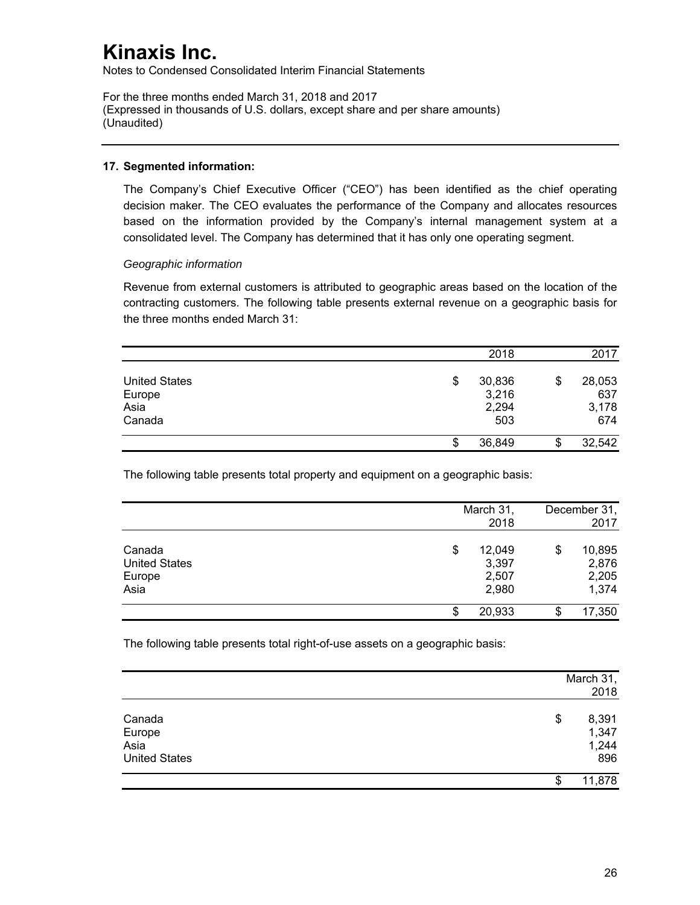Notes to Condensed Consolidated Interim Financial Statements

For the three months ended March 31, 2018 and 2017 (Expressed in thousands of U.S. dollars, except share and per share amounts) (Unaudited)

### **17. Segmented information:**

The Company's Chief Executive Officer ("CEO") has been identified as the chief operating decision maker. The CEO evaluates the performance of the Company and allocates resources based on the information provided by the Company's internal management system at a consolidated level. The Company has determined that it has only one operating segment.

### *Geographic information*

Revenue from external customers is attributed to geographic areas based on the location of the contracting customers. The following table presents external revenue on a geographic basis for the three months ended March 31:

|                                | 2018                  | 2017                |
|--------------------------------|-----------------------|---------------------|
| <b>United States</b><br>Europe | \$<br>30,836<br>3,216 | \$<br>28,053<br>637 |
| Asia<br>Canada                 | 2,294<br>503          | 3,178<br>674        |
|                                | \$<br>36,849          | \$<br>32,542        |

The following table presents total property and equipment on a geographic basis:

|                      | March 31,    |       | December 31, |        |
|----------------------|--------------|-------|--------------|--------|
|                      |              | 2018  |              | 2017   |
| Canada               | 12,049<br>\$ |       | \$           | 10,895 |
| <b>United States</b> |              | 3,397 |              | 2,876  |
| Europe               |              | 2,507 |              | 2,205  |
| Asia                 |              | 2,980 |              | 1,374  |
|                      | 20,933<br>\$ |       | \$           | 17,350 |

The following table presents total right-of-use assets on a geographic basis:

|                      | March 31,<br>2018 |
|----------------------|-------------------|
| Canada               | \$<br>8,391       |
| Europe               | 1,347             |
| Asia                 | 1,244             |
| <b>United States</b> | 896               |
|                      | \$<br>11,878      |